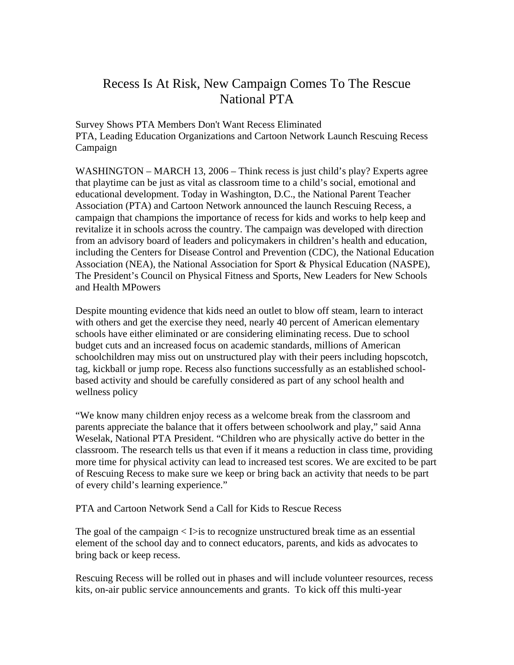## Recess Is At Risk, New Campaign Comes To The Rescue National PTA

Survey Shows PTA Members Don't Want Recess Eliminated PTA, Leading Education Organizations and Cartoon Network Launch Rescuing Recess Campaign

WASHINGTON – MARCH 13, 2006 – Think recess is just child's play? Experts agree that playtime can be just as vital as classroom time to a child's social, emotional and educational development. Today in Washington, D.C., the National Parent Teacher Association (PTA) and Cartoon Network announced the launch Rescuing Recess, a campaign that champions the importance of recess for kids and works to help keep and revitalize it in schools across the country. The campaign was developed with direction from an advisory board of leaders and policymakers in children's health and education, including the Centers for Disease Control and Prevention (CDC), the National Education Association (NEA), the National Association for Sport & Physical Education (NASPE), The President's Council on Physical Fitness and Sports, New Leaders for New Schools and Health MPowers

Despite mounting evidence that kids need an outlet to blow off steam, learn to interact with others and get the exercise they need, nearly 40 percent of American elementary schools have either eliminated or are considering eliminating recess. Due to school budget cuts and an increased focus on academic standards, millions of American schoolchildren may miss out on unstructured play with their peers including hopscotch, tag, kickball or jump rope. Recess also functions successfully as an established schoolbased activity and should be carefully considered as part of any school health and wellness policy

"We know many children enjoy recess as a welcome break from the classroom and parents appreciate the balance that it offers between schoolwork and play," said Anna Weselak, National PTA President. "Children who are physically active do better in the classroom. The research tells us that even if it means a reduction in class time, providing more time for physical activity can lead to increased test scores. We are excited to be part of Rescuing Recess to make sure we keep or bring back an activity that needs to be part of every child's learning experience."

PTA and Cartoon Network Send a Call for Kids to Rescue Recess

The goal of the campaign  $\langle \rangle$  is to recognize unstructured break time as an essential element of the school day and to connect educators, parents, and kids as advocates to bring back or keep recess.

Rescuing Recess will be rolled out in phases and will include volunteer resources, recess kits, on-air public service announcements and grants. To kick off this multi-year